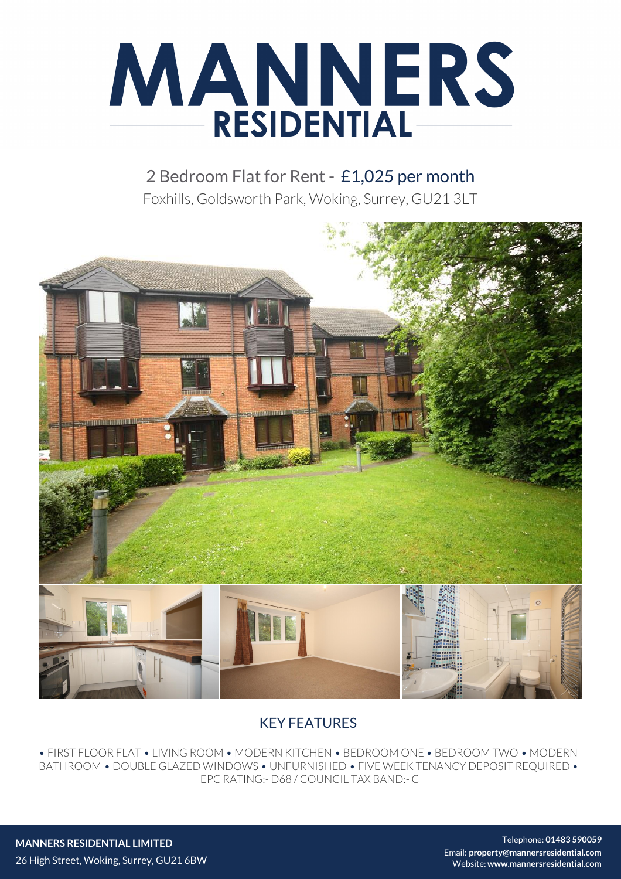

2 Bedroom Flat for Rent - £1,025 per month Foxhills, Goldsworth Park, Woking, Surrey, GU21 3LT



## KEY FEATURES

• FIRST FLOOR FLAT • LIVING ROOM • MODERN KITCHEN • BEDROOM ONE • BEDROOM TWO • MODERN BATHROOM • DOUBLE GLAZED WINDOWS • UNFURNISHED • FIVE WEEK TENANCY DEPOSIT REQUIRED • EPC RATING:- D68 / COUNCIL TAX BAND:- C